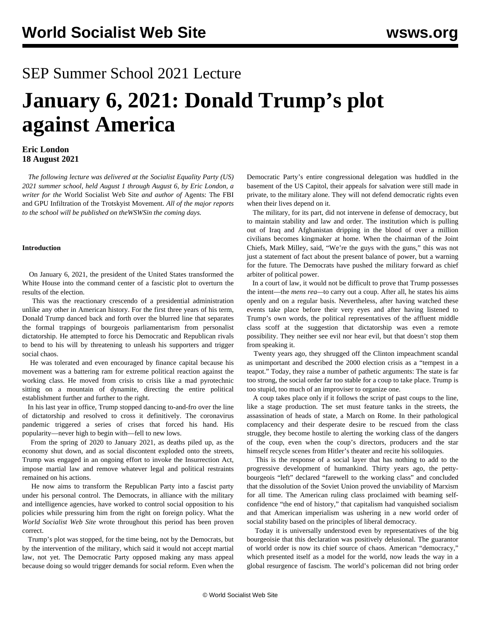## SEP Summer School 2021 Lecture

# **January 6, 2021: Donald Trump's plot against America**

#### **Eric London 18 August 2021**

 *The following lecture was delivered at the Socialist Equality Party (US) 2021 summer school, held August 1 through August 6, by Eric London, a writer for the* World Socialist Web Site *and author of* Agents: The FBI and GPU Infiltration of the Trotskyist Movement. *All of the major reports to the school will be published on theWSWSin the coming days.*

#### **Introduction**

 On January 6, 2021, the president of the United States transformed the White House into the command center of a fascistic plot to overturn the results of the election.

 This was the reactionary crescendo of a presidential administration unlike any other in American history. For the first three years of his term, Donald Trump danced back and forth over the blurred line that separates the formal trappings of bourgeois parliamentarism from personalist dictatorship. He attempted to force his Democratic and Republican rivals to bend to his will by threatening to unleash his supporters and trigger social chaos.

 He was tolerated and even encouraged by finance capital because his movement was a battering ram for extreme political reaction against the working class. He moved from crisis to crisis like a mad pyrotechnic sitting on a mountain of dynamite, directing the entire political establishment further and further to the right.

 In his last year in office, Trump stopped dancing to-and-fro over the line of dictatorship and resolved to cross it definitively. The coronavirus pandemic triggered a series of crises that forced his hand. His popularity—never high to begin with—fell to new lows.

 From the spring of 2020 to January 2021, as deaths piled up, as the economy shut down, and as social discontent exploded onto the streets, Trump was engaged in an ongoing effort to invoke the Insurrection Act, impose martial law and remove whatever legal and political restraints remained on his actions.

 He now aims to transform the Republican Party into a fascist party under his personal control. The Democrats, in alliance with the military and intelligence agencies, have worked to control social opposition to his policies while pressuring him from the right on foreign policy. What the *World Socialist Web Site* wrote throughout this period has been proven correct.

 Trump's plot was stopped, for the time being, not by the Democrats, but by the intervention of the military, which said it would not accept martial law, not yet. The Democratic Party opposed making any mass appeal because doing so would trigger demands for social reform. Even when the Democratic Party's entire congressional delegation was huddled in the basement of the US Capitol, their appeals for salvation were still made in private, to the military alone. They will not defend democratic rights even when their lives depend on it.

 The military, for its part, did not intervene in defense of democracy, but to maintain stability and law and order. The institution which is pulling out of Iraq and Afghanistan dripping in the blood of over a million civilians becomes kingmaker at home. When the chairman of the Joint Chiefs, Mark Milley, said, "We're the guys with the guns," this was not just a statement of fact about the present balance of power, but a warning for the future. The Democrats have pushed the military forward as chief arbiter of political power.

 In a court of law, it would not be difficult to prove that Trump possesses the intent—the *mens rea—*to carry out a coup. After all, he states his aims openly and on a regular basis. Nevertheless, after having watched these events take place before their very eyes and after having listened to Trump's own words, the political representatives of the affluent middle class scoff at the suggestion that dictatorship was even a remote possibility. They neither see evil nor hear evil, but that doesn't stop them from speaking it.

 Twenty years ago, they shrugged off the Clinton impeachment scandal as unimportant and described the 2000 election crisis as a "tempest in a teapot." Today, they raise a number of pathetic arguments: The state is far too strong, the social order far too stable for a coup to take place. Trump is too stupid, too much of an improviser to organize one.

 A coup takes place only if it follows the script of past coups to the line, like a stage production. The set must feature tanks in the streets, the assassination of heads of state, a March on Rome. In their pathological complacency and their desperate desire to be rescued from the class struggle, they become hostile to alerting the working class of the dangers of the coup, even when the coup's directors, producers and the star himself recycle scenes from Hitler's theater and recite his soliloquies.

 This is the response of a social layer that has nothing to add to the progressive development of humankind. Thirty years ago, the pettybourgeois "left" declared "farewell to the working class" and concluded that the dissolution of the Soviet Union proved the unviability of Marxism for all time. The American ruling class proclaimed with beaming selfconfidence "the end of history," that capitalism had vanquished socialism and that American imperialism was ushering in a new world order of social stability based on the principles of liberal democracy.

 Today it is universally understood even by representatives of the big bourgeoisie that this declaration was positively delusional. The guarantor of world order is now its chief source of chaos. American "democracy," which presented itself as a model for the world, now leads the way in a global resurgence of fascism. The world's policeman did not bring order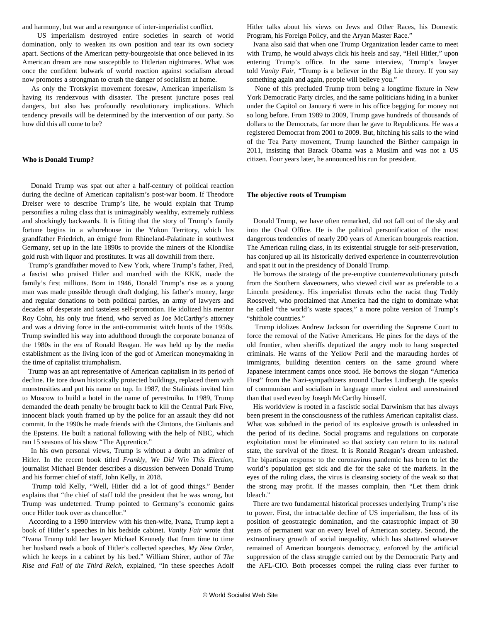and harmony, but war and a resurgence of inter-imperialist conflict.

 US imperialism destroyed entire societies in search of world domination, only to weaken its own position and tear its own society apart. Sections of the American petty-bourgeoisie that once believed in its American dream are now susceptible to Hitlerian nightmares. What was once the confident bulwark of world reaction against socialism abroad now promotes a strongman to crush the danger of socialism at home.

 As only the Trotskyist movement foresaw, American imperialism is having its rendezvous with disaster. The present juncture poses real dangers, but also has profoundly revolutionary implications. Which tendency prevails will be determined by the intervention of our party. So how did this all come to be?

#### **Who is Donald Trump?**

 Donald Trump was spat out after a half-century of political reaction during the decline of American capitalism's post-war boom. If Theodore Dreiser were to describe Trump's life, he would explain that Trump personifies a ruling class that is unimaginably wealthy, extremely ruthless and shockingly backwards. It is fitting that the story of Trump's family fortune begins in a whorehouse in the Yukon Territory, which his grandfather Friedrich, an émigré from Rhineland-Palatinate in southwest Germany, set up in the late 1890s to provide the miners of the Klondike gold rush with liquor and prostitutes. It was all downhill from there.

 Trump's grandfather moved to New York, where Trump's father, Fred, a fascist who praised Hitler and marched with the KKK, made the family's first millions. Born in 1946, Donald Trump's rise as a young man was made possible through draft dodging, his father's money, large and regular donations to both political parties, an army of lawyers and decades of desperate and tasteless self-promotion. He idolized his mentor Roy Cohn, his only true friend, who served as Joe McCarthy's attorney and was a driving force in the anti-communist witch hunts of the 1950s. Trump swindled his way into adulthood through the corporate bonanza of the 1980s in the era of Ronald Reagan. He was held up by the media establishment as the living icon of the god of American moneymaking in the time of capitalist triumphalism.

 Trump was an apt representative of American capitalism in its period of decline. He tore down historically protected buildings, replaced them with monstrosities and put his name on top. In 1987, the Stalinists invited him to Moscow to build a hotel in the name of perestroika. In 1989, Trump demanded the death penalty be brought back to kill the Central Park Five, innocent black youth framed up by the police for an assault they did not commit. In the 1990s he made friends with the Clintons, the Giulianis and the Epsteins. He built a national following with the help of NBC, which ran 15 seasons of his show "The Apprentice."

 In his own personal views, Trump is without a doubt an admirer of Hitler. In the recent book titled *Frankly, We Did Win This Election*, journalist Michael Bender describes a discussion between Donald Trump and his former chief of staff, John Kelly, in 2018.

 Trump told Kelly, "Well, Hitler did a lot of good things." Bender explains that "the chief of staff told the president that he was wrong, but Trump was undeterred. Trump pointed to Germany's economic gains once Hitler took over as chancellor."

 According to a 1990 interview with his then-wife, Ivana, Trump kept a book of Hitler's speeches in his bedside cabinet. *Vanity Fair* wrote that "Ivana Trump told her lawyer Michael Kennedy that from time to time her husband reads a book of Hitler's collected speeches, *My New Order*, which he keeps in a cabinet by his bed." William Shirer, author of *The Rise and Fall of the Third Reich*, explained, "In these speeches Adolf Hitler talks about his views on Jews and Other Races, his Domestic Program, his Foreign Policy, and the Aryan Master Race."

 Ivana also said that when one Trump Organization leader came to meet with Trump, he would always click his heels and say, "Heil Hitler," upon entering Trump's office. In the same interview, Trump's lawyer told *Vanity Fair*, "Trump is a believer in the Big Lie theory. If you say something again and again, people will believe you."

 None of this precluded Trump from being a longtime fixture in New York Democratic Party circles, and the same politicians hiding in a bunker under the Capitol on January 6 were in his office begging for money not so long before. From 1989 to 2009, Trump gave hundreds of thousands of dollars to the Democrats, far more than he gave to Republicans. He was a registered Democrat from 2001 to 2009. But, hitching his sails to the wind of the Tea Party movement, Trump launched the Birther campaign in 2011, insisting that Barack Obama was a Muslim and was not a US citizen. Four years later, he announced his run for president.

#### **The objective roots of Trumpism**

 Donald Trump, we have often remarked, did not fall out of the sky and into the Oval Office. He is the political personification of the most dangerous tendencies of nearly 200 years of American bourgeois reaction. The American ruling class, in its existential struggle for self-preservation, has conjured up all its historically derived experience in counterrevolution and spat it out in the presidency of Donald Trump.

 He borrows the strategy of the pre-emptive counterrevolutionary putsch from the Southern slaveowners, who viewed civil war as preferable to a Lincoln presidency. His imperialist threats echo the racist thug Teddy Roosevelt, who proclaimed that America had the right to dominate what he called "the world's waste spaces," a more polite version of Trump's "shithole countries."

 Trump idolizes Andrew Jackson for overriding the Supreme Court to force the removal of the Native Americans. He pines for the days of the old frontier, when sheriffs deputized the angry mob to hang suspected criminals. He warns of the Yellow Peril and the marauding hordes of immigrants, building detention centers on the same ground where Japanese internment camps once stood. He borrows the slogan "America First" from the Nazi-sympathizers around Charles Lindbergh. He speaks of communism and socialism in language more violent and unrestrained than that used even by Joseph McCarthy himself.

 His worldview is rooted in a fascistic social Darwinism that has always been present in the consciousness of the ruthless American capitalist class. What was subdued in the period of its explosive growth is unleashed in the period of its decline. Social programs and regulations on corporate exploitation must be eliminated so that society can return to its natural state, the survival of the fittest. It is Ronald Reagan's dream unleashed. The bipartisan response to the coronavirus pandemic has been to let the world's population get sick and die for the sake of the markets. In the eyes of the ruling class, the virus is cleansing society of the weak so that the strong may profit. If the masses complain, then "Let them drink bleach."

 There are two fundamental historical processes underlying Trump's rise to power. First, the intractable decline of US imperialism, the loss of its position of geostrategic domination, and the catastrophic impact of 30 years of permanent war on every level of American society. Second, the extraordinary growth of social inequality, which has shattered whatever remained of American bourgeois democracy, enforced by the artificial suppression of the class struggle carried out by the Democratic Party and the AFL-CIO. Both processes compel the ruling class ever further to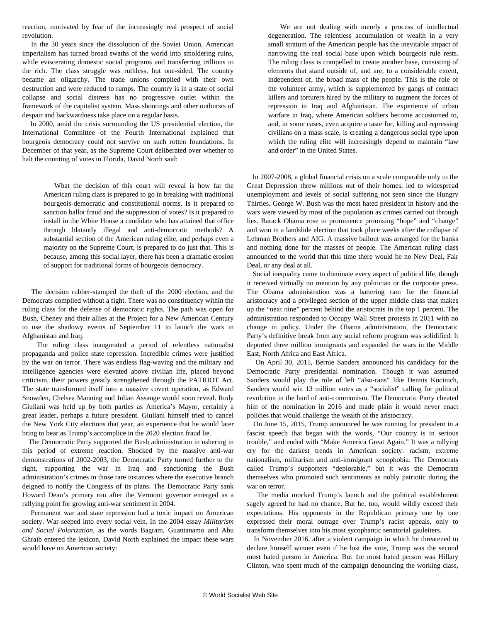reaction, motivated by fear of the increasingly real prospect of social revolution.

 In the 30 years since the dissolution of the Soviet Union, American imperialism has turned broad swaths of the world into smoldering ruins, while eviscerating domestic social programs and transferring trillions to the rich. The class struggle was ruthless, but one-sided. The country became an oligarchy. The trade unions complied with their own destruction and were reduced to rumps. The country is in a state of social collapse and social distress has no progressive outlet within the framework of the capitalist system. Mass shootings and other outbursts of despair and backwardness take place on a regular basis.

 In 2000, amid the crisis surrounding the US presidential election, the International Committee of the Fourth International explained that bourgeois democracy could not survive on such rotten foundations. In December of that year, as the Supreme Court deliberated over whether to halt the counting of votes in Florida, David North said:

 What the decision of this court will reveal is how far the American ruling class is prepared to go in breaking with traditional bourgeois-democratic and constitutional norms. Is it prepared to sanction ballot fraud and the suppression of votes? Is it prepared to install in the White House a candidate who has attained that office through blatantly illegal and anti-democratic methods? A substantial section of the American ruling elite, and perhaps even a majority on the Supreme Court, is prepared to do just that. This is because, among this social layer, there has been a dramatic erosion of support for traditional forms of bourgeois democracy.

 The decision rubber-stamped the theft of the 2000 election, and the Democrats complied without a fight. There was no constituency within the ruling class for the defense of democratic rights. The path was open for Bush, Cheney and their allies at the Project for a New American Century to use the shadowy events of September 11 to launch the wars in Afghanistan and Iraq.

 The ruling class inaugurated a period of relentless nationalist propaganda and police state repression. Incredible crimes were justified by the war on terror. There was endless flag-waving and the military and intelligence agencies were elevated above civilian life, placed beyond criticism, their powers greatly strengthened through the PATRIOT Act. The state transformed itself into a massive covert operation, as Edward Snowden, Chelsea Manning and Julian Assange would soon reveal. Rudy Giuliani was held up by both parties as America's Mayor, certainly a great leader, perhaps a future president. Giuliani himself tried to cancel the New York City elections that year, an experience that he would later bring to bear as Trump's accomplice in the 2020 election fraud lie.

 The Democratic Party supported the Bush administration in ushering in this period of extreme reaction. Shocked by the massive anti-war demonstrations of 2002-2003, the Democratic Party turned further to the right, supporting the war in Iraq and sanctioning the Bush administration's crimes in those rare instances where the executive branch deigned to notify the Congress of its plans. The Democratic Party sank Howard Dean's primary run after the Vermont governor emerged as a rallying point for growing anti-war sentiment in 2004.

 Permanent war and state repression had a toxic impact on American society. War seeped into every social vein. In the 2004 essay *Militarism and Social Polarization*, as the words Bagram, Guantanamo and Abu Ghraib entered the lexicon, David North explained the impact these wars would have on American society:

 We are not dealing with merely a process of intellectual degeneration. The relentless accumulation of wealth in a very small stratum of the American people has the inevitable impact of narrowing the real social base upon which bourgeois rule rests. The ruling class is compelled to create another base, consisting of elements that stand outside of, and are, to a considerable extent, independent of, the broad mass of the people. This is the role of the volunteer army, which is supplemented by gangs of contract killers and torturers hired by the military to augment the forces of repression in Iraq and Afghanistan. The experience of urban warfare in Iraq, where American soldiers become accustomed to, and, in some cases, even acquire a taste for, killing and repressing civilians on a mass scale, is creating a dangerous social type upon which the ruling elite will increasingly depend to maintain "law and order" in the United States.

 In 2007-2008, a global financial crisis on a scale comparable only to the Great Depression threw millions out of their homes, led to widespread unemployment and levels of social suffering not seen since the Hungry Thirties. George W. Bush was the most hated president in history and the wars were viewed by most of the population as crimes carried out through lies. Barack Obama rose to prominence promising "hope" and "change" and won in a landslide election that took place weeks after the collapse of Lehman Brothers and AIG. A massive bailout was arranged for the banks and nothing done for the masses of people. The American ruling class announced to the world that this time there would be no New Deal, Fair Deal, or any deal at all.

 Social inequality came to dominate every aspect of political life, though it received virtually no mention by any politician or the corporate press. The Obama administration was a battering ram for the financial aristocracy and a privileged section of the upper middle class that makes up the "next nine" percent behind the aristocrats in the top 1 percent. The administration responded to Occupy Wall Street protests in 2011 with no change in policy. Under the Obama administration, the Democratic Party's definitive break from any social reform program was solidified. It deported three million immigrants and expanded the wars in the Middle East, North Africa and East Africa.

 On April 30, 2015, Bernie Sanders announced his candidacy for the Democratic Party presidential nomination. Though it was assumed Sanders would play the role of left "also-rans" like Dennis Kucinich, Sanders would win 13 million votes as a "socialist" calling for political revolution in the land of anti-communism. The Democratic Party cheated him of the nomination in 2016 and made plain it would never enact policies that would challenge the wealth of the aristocracy.

 On June 15, 2015, Trump announced he was running for president in a fascist speech that began with the words, "Our country is in serious trouble," and ended with "Make America Great Again." It was a rallying cry for the darkest trends in American society: racism, extreme nationalism, militarism and anti-immigrant xenophobia. The Democrats called Trump's supporters "deplorable," but it was the Democrats themselves who promoted such sentiments as nobly patriotic during the war on terror.

 The media mocked Trump's launch and the political establishment sagely agreed he had no chance. But he, too, would wildly exceed their expectations. His opponents in the Republican primary one by one expressed their moral outrage over Trump's racist appeals, only to transform themselves into his most sycophantic senatorial gauleiters.

 In November 2016, after a violent campaign in which he threatened to declare himself winner even if he lost the vote, Trump was the second most hated person in America. But the most hated person was Hillary Clinton, who spent much of the campaign denouncing the working class,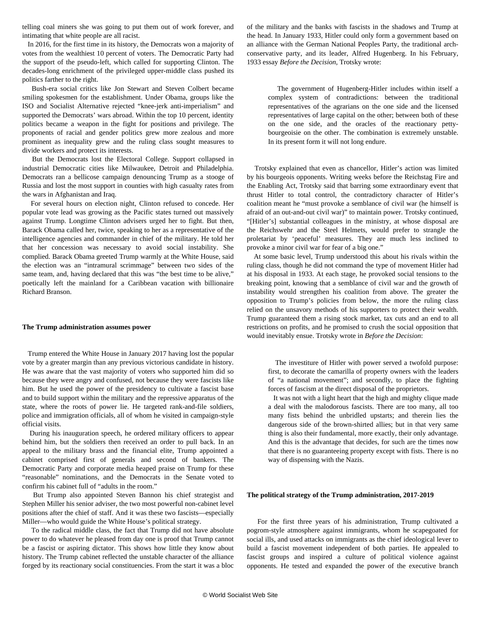telling coal miners she was going to put them out of work forever, and intimating that white people are all racist.

 In 2016, for the first time in its history, the Democrats won a majority of votes from the wealthiest 10 percent of voters. The Democratic Party had the support of the pseudo-left, which called for supporting Clinton. The decades-long enrichment of the privileged upper-middle class pushed its politics farther to the right.

 Bush-era social critics like Jon Stewart and Steven Colbert became smiling spokesmen for the establishment. Under Obama, groups like the ISO and Socialist Alternative rejected "knee-jerk anti-imperialism" and supported the Democrats' wars abroad. Within the top 10 percent, identity politics became a weapon in the fight for positions and privilege. The proponents of racial and gender politics grew more zealous and more prominent as inequality grew and the ruling class sought measures to divide workers and protect its interests.

 But the Democrats lost the Electoral College. Support collapsed in industrial Democratic cities like Milwaukee, Detroit and Philadelphia. Democrats ran a bellicose campaign denouncing Trump as a stooge of Russia and lost the most support in counties with high casualty rates from the wars in Afghanistan and Iraq.

 For several hours on election night, Clinton refused to concede. Her popular vote lead was growing as the Pacific states turned out massively against Trump. Longtime Clinton advisers urged her to fight. But then, Barack Obama called her, twice, speaking to her as a representative of the intelligence agencies and commander in chief of the military. He told her that her concession was necessary to avoid social instability. She complied. Barack Obama greeted Trump warmly at the White House, said the election was an "intramural scrimmage" between two sides of the same team, and, having declared that this was "the best time to be alive," poetically left the mainland for a Caribbean vacation with billionaire Richard Branson.

#### **The Trump administration assumes power**

 Trump entered the White House in January 2017 having lost the popular vote by a greater margin than any previous victorious candidate in history. He was aware that the vast majority of voters who supported him did so because they were angry and confused, not because they were fascists like him. But he used the power of the presidency to cultivate a fascist base and to build support within the military and the repressive apparatus of the state, where the roots of power lie. He targeted rank-and-file soldiers, police and immigration officials, all of whom he visited in campaign-style official visits.

 During his inauguration speech, he ordered military officers to appear behind him, but the soldiers then received an order to pull back. In an appeal to the military brass and the financial elite, Trump appointed a cabinet comprised first of generals and second of bankers. The Democratic Party and corporate media heaped praise on Trump for these "reasonable" nominations, and the Democrats in the Senate voted to confirm his cabinet full of "adults in the room."

 But Trump also appointed Steven Bannon his chief strategist and Stephen Miller his senior adviser, the two most powerful non-cabinet level positions after the chief of staff. And it was these two fascists—especially Miller—who would guide the White House's political strategy.

 To the radical middle class, the fact that Trump did not have absolute power to do whatever he pleased from day one is proof that Trump cannot be a fascist or aspiring dictator. This shows how little they know about history. The Trump cabinet reflected the unstable character of the alliance forged by its reactionary social constituencies. From the start it was a bloc of the military and the banks with fascists in the shadows and Trump at the head. In January 1933, Hitler could only form a government based on an alliance with the German National Peoples Party, the traditional archconservative party, and its leader, Alfred Hugenberg. In his February, 1933 essay *Before the Decision*, Trotsky wrote:

 The government of Hugenberg-Hitler includes within itself a complex system of contradictions: between the traditional representatives of the agrarians on the one side and the licensed representatives of large capital on the other; between both of these on the one side, and the oracles of the reactionary pettybourgeoisie on the other. The combination is extremely unstable. In its present form it will not long endure.

 Trotsky explained that even as chancellor, Hitler's action was limited by his bourgeois opponents. Writing weeks before the Reichstag Fire and the Enabling Act, Trotsky said that barring some extraordinary event that thrust Hitler to total control, the contradictory character of Hitler's coalition meant he "must provoke a semblance of civil war (he himself is afraid of an out-and-out civil war)" to maintain power. Trotsky continued, "[Hitler's] substantial colleagues in the ministry, at whose disposal are the Reichswehr and the Steel Helmets, would prefer to strangle the proletariat by 'peaceful' measures. They are much less inclined to provoke a minor civil war for fear of a big one."

 At some basic level, Trump understood this about his rivals within the ruling class, though he did not command the type of movement Hitler had at his disposal in 1933. At each stage, he provoked social tensions to the breaking point, knowing that a semblance of civil war and the growth of instability would strengthen his coalition from above. The greater the opposition to Trump's policies from below, the more the ruling class relied on the unsavory methods of his supporters to protect their wealth. Trump guaranteed them a rising stock market, tax cuts and an end to all restrictions on profits, and he promised to crush the social opposition that would inevitably ensue. Trotsky wrote in *Before the Decision*:

 The investiture of Hitler with power served a twofold purpose: first, to decorate the camarilla of property owners with the leaders of "a national movement"; and secondly, to place the fighting forces of fascism at the direct disposal of the proprietors.

 It was not with a light heart that the high and mighty clique made a deal with the malodorous fascists. There are too many, all too many fists behind the unbridled upstarts; and therein lies the dangerous side of the brown-shirted allies; but in that very same thing is also their fundamental, more exactly, their only advantage. And this is the advantage that decides, for such are the times now that there is no guaranteeing property except with fists. There is no way of dispensing with the Nazis.

#### **The political strategy of the Trump administration, 2017-2019**

 For the first three years of his administration, Trump cultivated a pogrom-style atmosphere against immigrants, whom he scapegoated for social ills, and used attacks on immigrants as the chief ideological lever to build a fascist movement independent of both parties. He appealed to fascist groups and inspired a culture of political violence against opponents. He tested and expanded the power of the executive branch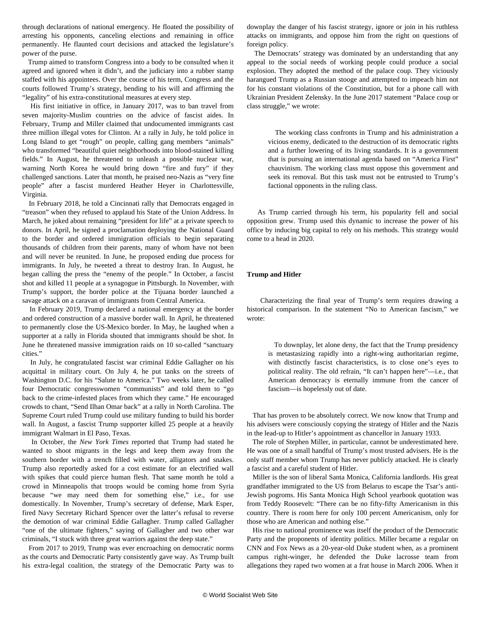through declarations of national emergency. He floated the possibility of arresting his opponents, canceling elections and remaining in office permanently. He flaunted court decisions and attacked the legislature's power of the purse.

 Trump aimed to transform Congress into a body to be consulted when it agreed and ignored when it didn't, and the judiciary into a rubber stamp staffed with his appointees. Over the course of his term, Congress and the courts followed Trump's strategy, bending to his will and affirming the "legality" of his extra-constitutional measures at every step.

 His first initiative in office, in January 2017, was to ban travel from seven majority-Muslim countries on the advice of fascist aides. In February, Trump and Miller claimed that undocumented immigrants cast three million illegal votes for Clinton. At a rally in July, he told police in Long Island to get "rough" on people, calling gang members "animals" who transformed "beautiful quiet neighborhoods into blood-stained killing fields." In August, he threatened to unleash a possible nuclear war, warning North Korea he would bring down "fire and fury" if they challenged sanctions. Later that month, he praised neo-Nazis as "very fine people" after a fascist murdered Heather Heyer in Charlottesville, Virginia.

 In February 2018, he told a Cincinnati rally that Democrats engaged in "treason" when they refused to applaud his State of the Union Address. In March, he joked about remaining "president for life" at a private speech to donors. In April, he signed a proclamation deploying the National Guard to the border and ordered immigration officials to begin separating thousands of children from their parents, many of whom have not been and will never be reunited. In June, he proposed ending due process for immigrants. In July, he tweeted a threat to destroy Iran. In August, he began calling the press the "enemy of the people." In October, a fascist shot and killed 11 people at a synagogue in Pittsburgh. In November, with Trump's support, the border police at the Tijuana border launched a savage attack on a caravan of immigrants from Central America.

 In February 2019, Trump declared a national emergency at the border and ordered construction of a massive border wall. In April, he threatened to permanently close the US-Mexico border. In May, he laughed when a supporter at a rally in Florida shouted that immigrants should be shot. In June he threatened massive immigration raids on 10 so-called "sanctuary cities."

 In July, he congratulated fascist war criminal Eddie Gallagher on his acquittal in military court. On July 4, he put tanks on the streets of Washington D.C. for his "Salute to America." Two weeks later, he called four Democratic congresswomen "communists" and told them to "go back to the crime-infested places from which they came." He encouraged crowds to chant, "Send Ilhan Omar back" at a rally in North Carolina. The Supreme Court ruled Trump could use military funding to build his border wall. In August, a fascist Trump supporter killed 25 people at a heavily immigrant Walmart in El Paso, Texas.

 In October, the *New York Times* reported that Trump had stated he wanted to shoot migrants in the legs and keep them away from the southern border with a trench filled with water, alligators and snakes. Trump also reportedly asked for a cost estimate for an electrified wall with spikes that could pierce human flesh. That same month he told a crowd in Minneapolis that troops would be coming home from Syria because "we may need them for something else," i.e., for use domestically. In November, Trump's secretary of defense, Mark Esper, fired Navy Secretary Richard Spencer over the latter's refusal to reverse the demotion of war criminal Eddie Gallagher. Trump called Gallagher "one of the ultimate fighters," saying of Gallagher and two other war criminals, "I stuck with three great warriors against the deep state."

 From 2017 to 2019, Trump was ever encroaching on democratic norms as the courts and Democratic Party consistently gave way. As Trump built his extra-legal coalition, the strategy of the Democratic Party was to

downplay the danger of his fascist strategy, ignore or join in his ruthless attacks on immigrants, and oppose him from the right on questions of foreign policy.

 The Democrats' strategy was dominated by an understanding that any appeal to the social needs of working people could produce a social explosion. They adopted the method of the palace coup. They viciously harangued Trump as a Russian stooge and attempted to impeach him not for his constant violations of the Constitution, but for a phone call with Ukrainian President Zelensky. In the June 2017 statement "Palace coup or class struggle," we wrote:

 The working class confronts in Trump and his administration a vicious enemy, dedicated to the destruction of its democratic rights and a further lowering of its living standards. It is a government that is pursuing an international agenda based on "America First" chauvinism. The working class must oppose this government and seek its removal. But this task must not be entrusted to Trump's factional opponents in the ruling class.

 As Trump carried through his term, his popularity fell and social opposition grew. Trump used this dynamic to increase the power of his office by inducing big capital to rely on his methods. This strategy would come to a head in 2020.

#### **Trump and Hitler**

 Characterizing the final year of Trump's term requires drawing a historical comparison. In the statement "No to American fascism," we wrote:

 To downplay, let alone deny, the fact that the Trump presidency is metastasizing rapidly into a right-wing authoritarian regime, with distinctly fascist characteristics, is to close one's eyes to political reality. The old refrain, "It can't happen here"—i.e., that American democracy is eternally immune from the cancer of fascism—is hopelessly out of date.

 That has proven to be absolutely correct. We now know that Trump and his advisers were consciously copying the strategy of Hitler and the Nazis in the lead-up to Hitler's appointment as chancellor in January 1933.

 The role of Stephen Miller, in particular, cannot be underestimated here. He was one of a small handful of Trump's most trusted advisers. He is the only staff member whom Trump has never publicly attacked. He is clearly a fascist and a careful student of Hitler.

 Miller is the son of liberal Santa Monica, California landlords. His great grandfather immigrated to the US from Belarus to escape the Tsar's anti-Jewish pogroms. His Santa Monica High School yearbook quotation was from Teddy Roosevelt: "There can be no fifty-fifty Americanism in this country. There is room here for only 100 percent Americanism, only for those who are American and nothing else."

 His rise to national prominence was itself the product of the Democratic Party and the proponents of identity politics. Miller became a regular on CNN and Fox News as a 20-year-old Duke student when, as a prominent campus right-winger, he defended the Duke lacrosse team from allegations they raped two women at a frat house in March 2006. When it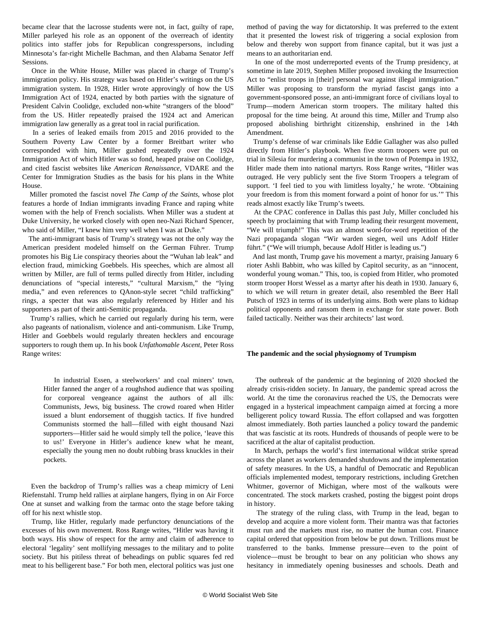became clear that the lacrosse students were not, in fact, guilty of rape, Miller parleyed his role as an opponent of the overreach of identity politics into staffer jobs for Republican congresspersons, including Minnesota's far-right Michelle Bachman, and then Alabama Senator Jeff Sessions.

 Once in the White House, Miller was placed in charge of Trump's immigration policy. His strategy was based on Hitler's writings on the US immigration system. In 1928, Hitler wrote approvingly of how the US Immigration Act of 1924, enacted by both parties with the signature of President Calvin Coolidge, excluded non-white "strangers of the blood" from the US. Hitler repeatedly praised the 1924 act and American immigration law generally as a great tool in racial purification.

 In a series of leaked emails from 2015 and 2016 provided to the Southern Poverty Law Center by a former Breitbart writer who corresponded with him, Miller gushed repeatedly over the 1924 Immigration Act of which Hitler was so fond, heaped praise on Coolidge, and cited fascist websites like *American Renaissance*, VDARE and the Center for Immigration Studies as the basis for his plans in the White House.

 Miller promoted the fascist novel *The Camp of the Saints*, whose plot features a horde of Indian immigrants invading France and raping white women with the help of French socialists. When Miller was a student at Duke University, he worked closely with open neo-Nazi Richard Spencer, who said of Miller, "I knew him very well when I was at Duke."

 The anti-immigrant basis of Trump's strategy was not the only way the American president modeled himself on the German Führer. Trump promotes his Big Lie conspiracy theories about the "Wuhan lab leak" and election fraud, mimicking Goebbels. His speeches, which are almost all written by Miller, are full of terms pulled directly from Hitler, including denunciations of "special interests," "cultural Marxism," the "lying media," and even references to QAnon-style secret "child trafficking" rings, a specter that was also regularly referenced by Hitler and his supporters as part of their anti-Semitic propaganda.

 Trump's rallies, which he carried out regularly during his term, were also pageants of nationalism, violence and anti-communism. Like Trump, Hitler and Goebbels would regularly threaten hecklers and encourage supporters to rough them up. In his book *Unfathomable Ascent*, Peter Ross Range writes:

 In industrial Essen, a steelworkers' and coal miners' town, Hitler fanned the anger of a roughshod audience that was spoiling for corporeal vengeance against the authors of all ills: Communists, Jews, big business. The crowd roared when Hitler issued a blunt endorsement of thuggish tactics. If five hundred Communists stormed the hall—filled with eight thousand Nazi supporters—Hitler said he would simply tell the police, 'leave this to us!' Everyone in Hitler's audience knew what he meant, especially the young men no doubt rubbing brass knuckles in their pockets.

 Even the backdrop of Trump's rallies was a cheap mimicry of Leni Riefenstahl. Trump held rallies at airplane hangers, flying in on Air Force One at sunset and walking from the tarmac onto the stage before taking off for his next whistle stop.

 Trump, like Hitler, regularly made perfunctory denunciations of the excesses of his own movement. Ross Range writes, "Hitler was having it both ways. His show of respect for the army and claim of adherence to electoral 'legality' sent mollifying messages to the military and to polite society. But his pitiless threat of beheadings on public squares fed red meat to his belligerent base." For both men, electoral politics was just one method of paving the way for dictatorship. It was preferred to the extent that it presented the lowest risk of triggering a social explosion from below and thereby won support from finance capital, but it was just a means to an authoritarian end.

 In one of the most underreported events of the Trump presidency, at sometime in late 2019, Stephen Miller proposed invoking the Insurrection Act to "enlist troops in [their] personal war against illegal immigration." Miller was proposing to transform the myriad fascist gangs into a government-sponsored posse, an anti-immigrant force of civilians loyal to Trump—modern American storm troopers. The military halted this proposal for the time being. At around this time, Miller and Trump also proposed abolishing birthright citizenship, enshrined in the 14th Amendment.

 Trump's defense of war criminals like Eddie Gallagher was also pulled directly from Hitler's playbook. When five storm troopers were put on trial in Silesia for murdering a communist in the town of Potempa in 1932, Hitler made them into national martyrs. Ross Range writes, "Hitler was outraged. He very publicly sent the five Storm Troopers a telegram of support. 'I feel tied to you with limitless loyalty,' he wrote. 'Obtaining your freedom is from this moment forward a point of honor for us.'" This reads almost exactly like Trump's tweets.

 At the CPAC conference in Dallas this past July, Miller concluded his speech by proclaiming that with Trump leading their resurgent movement, "We will triumph!" This was an almost word-for-word repetition of the Nazi propaganda slogan "Wir warden siegen, weil uns Adolf Hitler führt." ("We will triumph, because Adolf Hitler is leading us.")

 And last month, Trump gave his movement a martyr, praising January 6 rioter Ashli Babbitt, who was killed by Capitol security, as an "innocent, wonderful young woman." This, too, is copied from Hitler, who promoted storm trooper Horst Wessel as a martyr after his death in 1930. January 6, to which we will return in greater detail, also resembled the Beer Hall Putsch of 1923 in terms of its underlying aims. Both were plans to kidnap political opponents and ransom them in exchange for state power. Both failed tactically. Neither was their architects' last word.

#### **The pandemic and the social physiognomy of Trumpism**

 The outbreak of the pandemic at the beginning of 2020 shocked the already crisis-ridden society. In January, the pandemic spread across the world. At the time the coronavirus reached the US, the Democrats were engaged in a hysterical impeachment campaign aimed at forcing a more belligerent policy toward Russia. The effort collapsed and was forgotten almost immediately. Both parties launched a policy toward the pandemic that was fascistic at its roots. Hundreds of thousands of people were to be sacrificed at the altar of capitalist production.

 In March, perhaps the world's first international wildcat strike spread across the planet as workers demanded shutdowns and the implementation of safety measures. In the US, a handful of Democratic and Republican officials implemented modest, temporary restrictions, including Gretchen Whitmer, governor of Michigan, where most of the walkouts were concentrated. The stock markets crashed, posting the biggest point drops in history.

 The strategy of the ruling class, with Trump in the lead, began to develop and acquire a more violent form. Their mantra was that factories must run and the markets must rise, no matter the human cost. Finance capital ordered that opposition from below be put down. Trillions must be transferred to the banks. Immense pressure—even to the point of violence—must be brought to bear on any politician who shows any hesitancy in immediately opening businesses and schools. Death and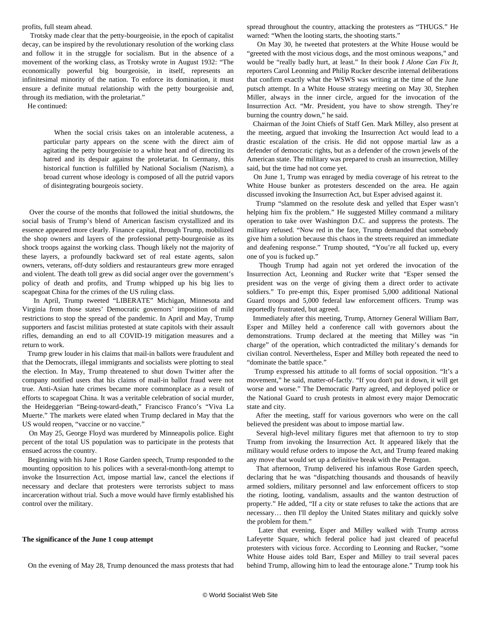profits, full steam ahead.

 Trotsky made clear that the petty-bourgeoisie, in the epoch of capitalist decay, can be inspired by the revolutionary resolution of the working class and follow it in the struggle for socialism. But in the absence of a movement of the working class, as Trotsky wrote in August 1932: "The economically powerful big bourgeoisie, in itself, represents an infinitesimal minority of the nation. To enforce its domination, it must ensure a definite mutual relationship with the petty bourgeoisie and, through its mediation, with the proletariat."

He continued:

 When the social crisis takes on an intolerable acuteness, a particular party appears on the scene with the direct aim of agitating the petty bourgeoisie to a white heat and of directing its hatred and its despair against the proletariat. In Germany, this historical function is fulfilled by National Socialism (Nazism), a broad current whose ideology is composed of all the putrid vapors of disintegrating bourgeois society.

 Over the course of the months that followed the initial shutdowns, the social basis of Trump's blend of American fascism crystallized and its essence appeared more clearly. Finance capital, through Trump, mobilized the shop owners and layers of the professional petty-bourgeoisie as its shock troops against the working class. Though likely not the majority of these layers, a profoundly backward set of real estate agents, salon owners, veterans, off-duty soldiers and restauranteurs grew more enraged and violent. The death toll grew as did social anger over the government's policy of death and profits, and Trump whipped up his big lies to scapegoat China for the crimes of the US ruling class.

 In April, Trump tweeted "LIBERATE" Michigan, Minnesota and Virginia from those states' Democratic governors' imposition of mild restrictions to stop the spread of the pandemic. In April and May, Trump supporters and fascist militias protested at state capitols with their assault rifles, demanding an end to all COVID-19 mitigation measures and a return to work.

 Trump grew louder in his claims that mail-in ballots were fraudulent and that the Democrats, illegal immigrants and socialists were plotting to steal the election. In May, Trump threatened to shut down Twitter after the company notified users that his claims of mail-in ballot fraud were not true. Anti-Asian hate crimes became more commonplace as a result of efforts to scapegoat China. It was a veritable celebration of social murder, the Heideggerian "Being-toward-death," Francisco Franco's "Viva La Muerte." The markets were elated when Trump declared in May that the US would reopen, "vaccine or no vaccine."

 On May 25, George Floyd was murdered by Minneapolis police. Eight percent of the total US population was to participate in the protests that ensued across the country.

 Beginning with his June 1 Rose Garden speech, Trump responded to the mounting opposition to his polices with a several-month-long attempt to invoke the Insurrection Act, impose martial law, cancel the elections if necessary and declare that protesters were terrorists subject to mass incarceration without trial. Such a move would have firmly established his control over the military.

#### **The significance of the June 1 coup attempt**

On the evening of May 28, Trump denounced the mass protests that had

spread throughout the country, attacking the protesters as "THUGS." He warned: "When the looting starts, the shooting starts."

 On May 30, he tweeted that protesters at the White House would be "greeted with the most vicious dogs, and the most ominous weapons," and would be "really badly hurt, at least." In their book *I Alone Can Fix It*, reporters Carol Leonning and Philip Rucker describe internal deliberations that confirm exactly what the WSWS was writing at the time of the June putsch attempt. In a White House strategy meeting on May 30, Stephen Miller, always in the inner circle, argued for the invocation of the Insurrection Act. "Mr. President, you have to show strength. They're burning the country down," he said.

 Chairman of the Joint Chiefs of Staff Gen. Mark Milley, also present at the meeting, argued that invoking the Insurrection Act would lead to a drastic escalation of the crisis. He did not oppose martial law as a defender of democratic rights, but as a defender of the crown jewels of the American state. The military was prepared to crush an insurrection, Milley said, but the time had not come yet.

 On June 1, Trump was enraged by media coverage of his retreat to the White House bunker as protesters descended on the area. He again discussed invoking the Insurrection Act, but Esper advised against it.

 Trump "slammed on the resolute desk and yelled that Esper wasn't helping him fix the problem." He suggested Milley command a military operation to take over Washington D.C. and suppress the protests. The military refused. "Now red in the face, Trump demanded that somebody give him a solution because this chaos in the streets required an immediate and deafening response." Trump shouted, "You're all fucked up, every one of you is fucked up."

 Though Trump had again not yet ordered the invocation of the Insurrection Act, Leonning and Rucker write that "Esper sensed the president was on the verge of giving them a direct order to activate soldiers." To pre-empt this, Esper promised 5,000 additional National Guard troops and 5,000 federal law enforcement officers. Trump was reportedly frustrated, but agreed.

 Immediately after this meeting, Trump, Attorney General William Barr, Esper and Milley held a conference call with governors about the demonstrations. Trump declared at the meeting that Milley was "in charge" of the operation, which contradicted the military's demands for civilian control. Nevertheless, Esper and Milley both repeated the need to "dominate the battle space."

 Trump expressed his attitude to all forms of social opposition. "It's a movement," he said, matter-of-factly. "If you don't put it down, it will get worse and worse." The Democratic Party agreed, and deployed police or the National Guard to crush protests in almost every major Democratic state and city.

 After the meeting, staff for various governors who were on the call believed the president was about to impose martial law.

 Several high-level military figures met that afternoon to try to stop Trump from invoking the Insurrection Act. It appeared likely that the military would refuse orders to impose the Act, and Trump feared making any move that would set up a definitive break with the Pentagon.

 That afternoon, Trump delivered his infamous Rose Garden speech, declaring that he was "dispatching thousands and thousands of heavily armed soldiers, military personnel and law enforcement officers to stop the rioting, looting, vandalism, assaults and the wanton destruction of property." He added, "If a city or state refuses to take the actions that are necessary… then I'll deploy the United States military and quickly solve the problem for them."

 Later that evening, Esper and Milley walked with Trump across Lafeyette Square, which federal police had just cleared of peaceful protesters with vicious force. According to Leonning and Rucker, "some White House aides told Barr, Esper and Milley to trail several paces behind Trump, allowing him to lead the entourage alone." Trump took his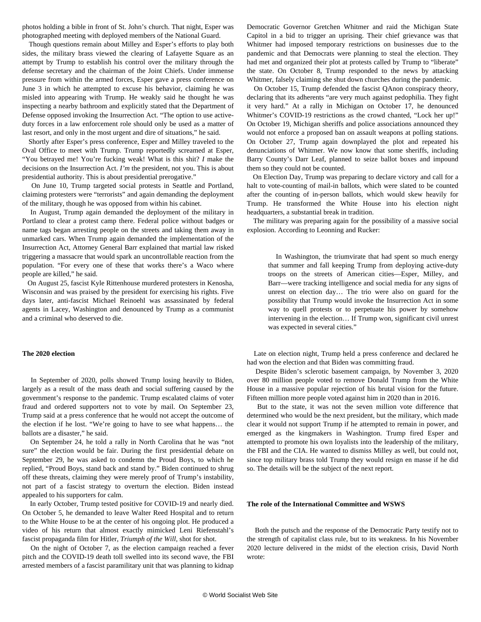photos holding a bible in front of St. John's church. That night, Esper was photographed meeting with deployed members of the National Guard.

 Though questions remain about Milley and Esper's efforts to play both sides, the military brass viewed the clearing of Lafayette Square as an attempt by Trump to establish his control over the military through the defense secretary and the chairman of the Joint Chiefs. Under immense pressure from within the armed forces, Esper gave a press conference on June 3 in which he attempted to excuse his behavior, claiming he was misled into appearing with Trump. He weakly said he thought he was inspecting a nearby bathroom and explicitly stated that the Department of Defense opposed invoking the Insurrection Act. "The option to use activeduty forces in a law enforcement role should only be used as a matter of last resort, and only in the most urgent and dire of situations," he said.

 Shortly after Esper's press conference, Esper and Milley traveled to the Oval Office to meet with Trump. Trump reportedly screamed at Esper, "You betrayed me! You're fucking weak! What is this shit? *I* make the decisions on the Insurrection Act. *I'm* the president, not you. This is about presidential authority. This is about presidential prerogative."

 On June 10, Trump targeted social protests in Seattle and Portland, claiming protesters were "terrorists" and again demanding the deployment of the military, though he was opposed from within his cabinet.

 In August, Trump again demanded the deployment of the military in Portland to clear a protest camp there. Federal police without badges or name tags began arresting people on the streets and taking them away in unmarked cars. When Trump again demanded the implementation of the Insurrection Act, Attorney General Barr explained that martial law risked triggering a massacre that would spark an uncontrollable reaction from the population. "For every one of these that works there's a Waco where people are killed," he said.

 On August 25, fascist Kyle Rittenhouse murdered protesters in Kenosha, Wisconsin and was praised by the president for exercising his rights. Five days later, anti-fascist Michael Reinoehl was assassinated by federal agents in Lacey, Washington and denounced by Trump as a communist and a criminal who deserved to die.

#### **The 2020 election**

 In September of 2020, polls showed Trump losing heavily to Biden, largely as a result of the mass death and social suffering caused by the government's response to the pandemic. Trump escalated claims of voter fraud and ordered supporters not to vote by mail. On September 23, Trump said at a press conference that he would not accept the outcome of the election if he lost. "We're going to have to see what happens… the ballots are a disaster," he said.

 On September 24, he told a rally in North Carolina that he was "not sure" the election would be fair. During the first presidential debate on September 29, he was asked to condemn the Proud Boys, to which he replied, "Proud Boys, stand back and stand by." Biden continued to shrug off these threats, claiming they were merely proof of Trump's instability, not part of a fascist strategy to overturn the election. Biden instead appealed to his supporters for calm.

 In early October, Trump tested positive for COVID-19 and nearly died. On October 5, he demanded to leave Walter Reed Hospital and to return to the White House to be at the center of his ongoing plot. He produced a video of his return that almost exactly mimicked Leni Riefenstahl's fascist propaganda film for Hitler, *Triumph of the Will*, shot for shot.

 On the night of October 7, as the election campaign reached a fever pitch and the COVID-19 death toll swelled into its second wave, the FBI arrested members of a fascist paramilitary unit that was planning to kidnap

Democratic Governor Gretchen Whitmer and raid the Michigan State Capitol in a bid to trigger an uprising. Their chief grievance was that Whitmer had imposed temporary restrictions on businesses due to the pandemic and that Democrats were planning to steal the election. They had met and organized their plot at protests called by Trump to "liberate" the state. On October 8, Trump responded to the news by attacking Whitmer, falsely claiming she shut down churches during the pandemic.

 On October 15, Trump defended the fascist QAnon conspiracy theory, declaring that its adherents "are very much against pedophilia. They fight it very hard." At a rally in Michigan on October 17, he denounced Whitmer's COVID-19 restrictions as the crowd chanted, "Lock her up!" On October 19, Michigan sheriffs and police associations announced they would not enforce a proposed ban on assault weapons at polling stations. On October 27, Trump again downplayed the plot and repeated his denunciations of Whitmer. We now know that some sheriffs, including Barry County's Darr Leaf, planned to seize ballot boxes and impound them so they could not be counted.

 On Election Day, Trump was preparing to declare victory and call for a halt to vote-counting of mail-in ballots, which were slated to be counted after the counting of in-person ballots, which would skew heavily for Trump. He transformed the White House into his election night headquarters, a substantial break in tradition.

 The military was preparing again for the possibility of a massive social explosion. According to Leonning and Rucker:

 In Washington, the triumvirate that had spent so much energy that summer and fall keeping Trump from deploying active-duty troops on the streets of American cities—Esper, Milley, and Barr—were tracking intelligence and social media for any signs of unrest on election day… The trio were also on guard for the possibility that Trump would invoke the Insurrection Act in some way to quell protests or to perpetuate his power by somehow intervening in the election… If Trump won, significant civil unrest was expected in several cities."

 Late on election night, Trump held a press conference and declared he had won the election and that Biden was committing fraud.

 Despite Biden's sclerotic basement campaign, by November 3, 2020 over 80 million people voted to remove Donald Trump from the White House in a massive popular rejection of his brutal vision for the future. Fifteen million more people voted against him in 2020 than in 2016.

 But to the state, it was not the seven million vote difference that determined who would be the next president, but the military, which made clear it would not support Trump if he attempted to remain in power, and emerged as the kingmakers in Washington. Trump fired Esper and attempted to promote his own loyalists into the leadership of the military, the FBI and the CIA. He wanted to dismiss Milley as well, but could not, since top military brass told Trump they would resign en masse if he did so. The details will be the subject of the next report.

#### **The role of the International Committee and WSWS**

 Both the putsch and the response of the Democratic Party testify not to the strength of capitalist class rule, but to its weakness. In his November 2020 lecture delivered in the midst of the election crisis, David North wrote: